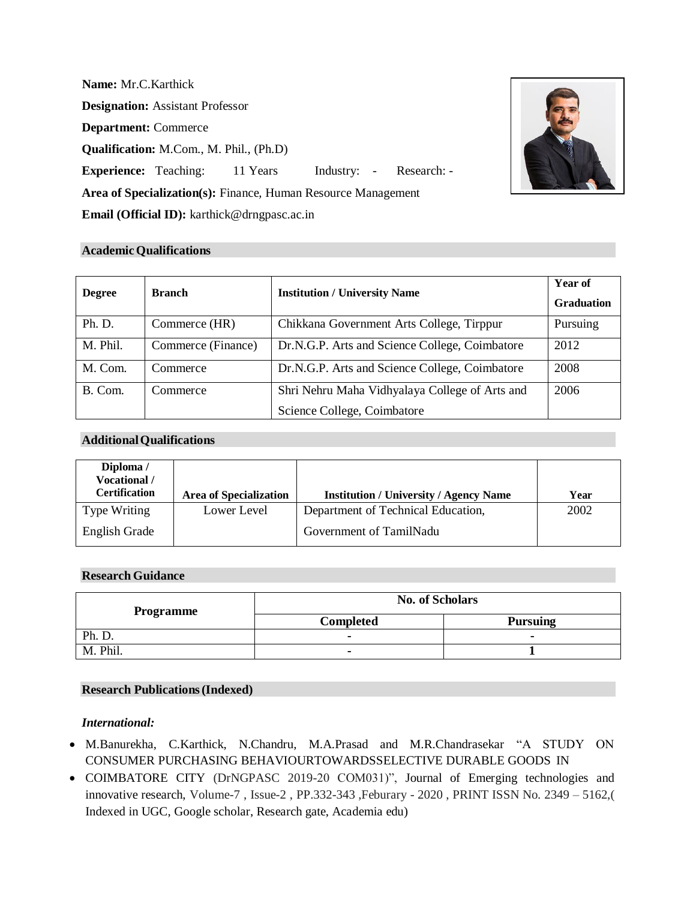**Name:** Mr.C.Karthick **Designation:** Assistant Professor **Department:** Commerce **Qualification:** M.Com., M. Phil., (Ph.D) **Experience:** Teaching: 11 Years Industry: - Research: -**Area of Specialization(s):** Finance, Human Resource Management **Email (Official ID):** [karthick@drngpasc.ac.in](mailto:karthick@drngpasc.ac.in)



# **AcademicQualifications**

| <b>Degree</b> | <b>Branch</b>      | <b>Institution / University Name</b>           | <b>Year of</b><br><b>Graduation</b> |
|---------------|--------------------|------------------------------------------------|-------------------------------------|
| Ph. D.        | Commerce (HR)      | Chikkana Government Arts College, Tirppur      | Pursuing                            |
| M. Phil.      | Commerce (Finance) | Dr.N.G.P. Arts and Science College, Coimbatore | 2012                                |
| M. Com.       | Commerce           | Dr.N.G.P. Arts and Science College, Coimbatore | 2008                                |
| B. Com.       | Commerce           | Shri Nehru Maha Vidhyalaya College of Arts and | 2006                                |
|               |                    | Science College, Coimbatore                    |                                     |

## **AdditionalQualifications**

| Diploma /<br>Vocational /<br>Certification | <b>Area of Specialization</b> | <b>Institution / University / Agency Name</b> | Year |
|--------------------------------------------|-------------------------------|-----------------------------------------------|------|
| <b>Type Writing</b>                        | Lower Level                   | Department of Technical Education,            | 2002 |
| <b>English Grade</b>                       |                               | Government of TamilNadu                       |      |

## **Research Guidance**

| <b>Programme</b> | <b>No. of Scholars</b> |                 |
|------------------|------------------------|-----------------|
|                  | <b>Completed</b>       | <b>Pursuing</b> |
| Ph. D.           |                        | $\blacksquare$  |
| M. Phil.         | -                      |                 |

### **Research Publications(Indexed)**

### *International:*

- M.Banurekha, C.Karthick, N.Chandru, M.A.Prasad and M.R.Chandrasekar "A STUDY ON CONSUMER PURCHASING BEHAVIOURTOWARDSSELECTIVE DURABLE GOODS IN
- COIMBATORE CITY (DrNGPASC 2019-20 COM031)", Journal of Emerging technologies and innovative research, Volume-7 , Issue-2 , PP.332-343 ,Feburary - 2020 , PRINT ISSN No. 2349 – 5162,( Indexed in UGC, Google scholar, Research gate, Academia edu)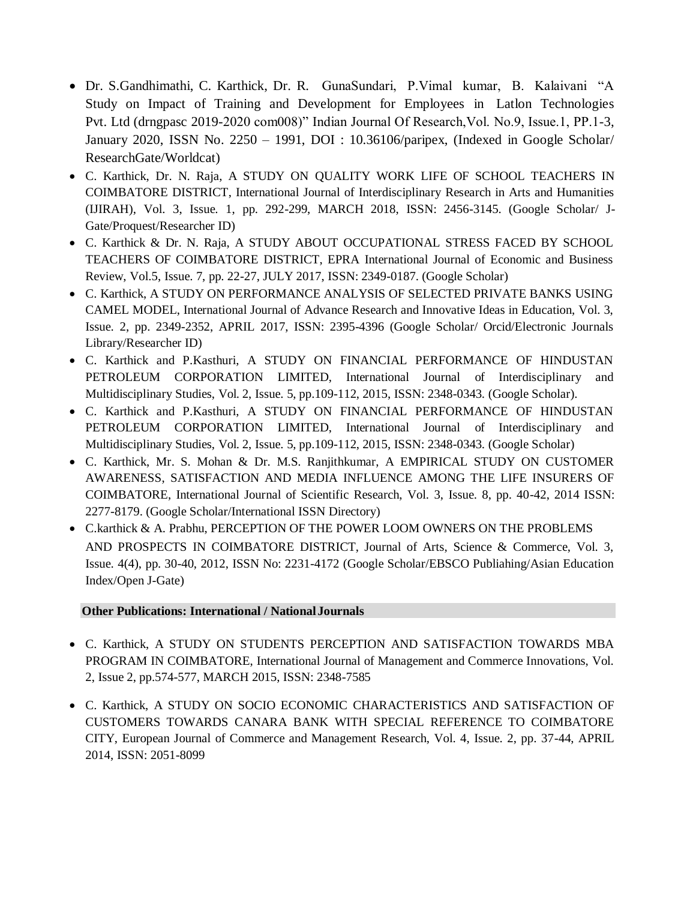- Dr. S.Gandhimathi, C. Karthick, Dr. R. GunaSundari, P.Vimal kumar, B. Kalaivani "A Study on Impact of Training and Development for Employees in Latlon Technologies Pvt. Ltd (drngpasc 2019-2020 com008)" Indian Journal Of Research,Vol. No.9, Issue.1, PP.1-3, January 2020, ISSN No. 2250 – 1991, DOI : 10.36106/paripex, (Indexed in Google Scholar/ ResearchGate/Worldcat)
- C. Karthick, Dr. N. Raja, A STUDY ON QUALITY WORK LIFE OF SCHOOL TEACHERS IN COIMBATORE DISTRICT, International Journal of Interdisciplinary Research in Arts and Humanities (IJIRAH), Vol. 3, Issue. 1, pp. 292-299, MARCH 2018, ISSN: 2456-3145. (Google Scholar/ J-Gate/Proquest/Researcher ID)
- C. Karthick & Dr. N. Raja, A STUDY ABOUT OCCUPATIONAL STRESS FACED BY SCHOOL TEACHERS OF COIMBATORE DISTRICT, EPRA International Journal of Economic and Business Review, Vol.5, Issue. 7, pp. 22-27, JULY 2017, ISSN: 2349-0187. (Google Scholar)
- C. Karthick, A STUDY ON PERFORMANCE ANALYSIS OF SELECTED PRIVATE BANKS USING CAMEL MODEL, International Journal of Advance Research and Innovative Ideas in Education, Vol. 3, Issue. 2, pp. 2349-2352, APRIL 2017, ISSN: 2395-4396 (Google Scholar/ Orcid/Electronic Journals Library/Researcher ID)
- C. Karthick and P.Kasthuri, A STUDY ON FINANCIAL PERFORMANCE OF HINDUSTAN PETROLEUM CORPORATION LIMITED, International Journal of Interdisciplinary and Multidisciplinary Studies, Vol. 2, Issue. 5, pp.109-112, 2015, ISSN: 2348-0343. (Google Scholar).
- C. Karthick and P.Kasthuri, A STUDY ON FINANCIAL PERFORMANCE OF HINDUSTAN PETROLEUM CORPORATION LIMITED, International Journal of Interdisciplinary and Multidisciplinary Studies, Vol. 2, Issue. 5, pp.109-112, 2015, ISSN: 2348-0343. (Google Scholar)
- C. Karthick, Mr. S. Mohan & Dr. M.S. Ranjithkumar, A EMPIRICAL STUDY ON CUSTOMER AWARENESS, SATISFACTION AND MEDIA INFLUENCE AMONG THE LIFE INSURERS OF COIMBATORE, International Journal of Scientific Research, Vol. 3, Issue. 8, pp. 40-42, 2014 ISSN: 2277-8179. (Google Scholar/International ISSN Directory)
- C.karthick & A. Prabhu, PERCEPTION OF THE POWER LOOM OWNERS ON THE PROBLEMS AND PROSPECTS IN COIMBATORE DISTRICT, Journal of Arts, Science & Commerce, Vol. 3, Issue. 4(4), pp. 30-40, 2012, ISSN No: 2231-4172 (Google Scholar/EBSCO Publiahing/Asian Education Index/Open J-Gate)

# **Other Publications: International / NationalJournals**

- C. Karthick, A STUDY ON STUDENTS PERCEPTION AND SATISFACTION TOWARDS MBA PROGRAM IN COIMBATORE, International Journal of Management and Commerce Innovations, Vol. 2, Issue 2, pp.574-577, MARCH 2015, ISSN: 2348-7585
- C. Karthick, A STUDY ON SOCIO ECONOMIC CHARACTERISTICS AND SATISFACTION OF CUSTOMERS TOWARDS CANARA BANK WITH SPECIAL REFERENCE TO COIMBATORE CITY, European Journal of Commerce and Management Research, Vol. 4, Issue. 2, pp. 37-44, APRIL 2014, ISSN: 2051-8099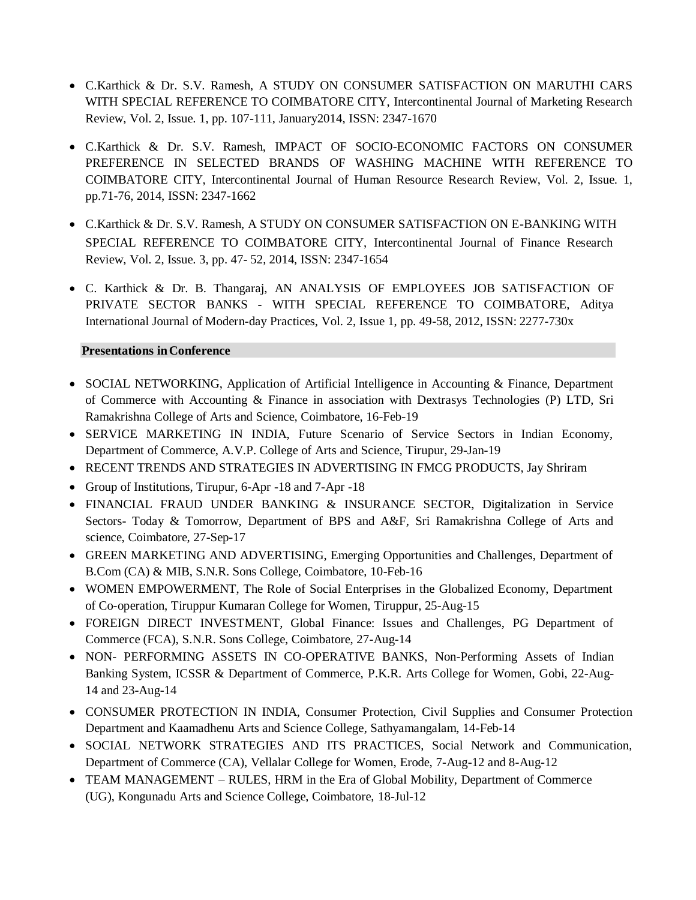- C.Karthick & Dr. S.V. Ramesh, A STUDY ON CONSUMER SATISFACTION ON MARUTHI CARS WITH SPECIAL REFERENCE TO COIMBATORE CITY, Intercontinental Journal of Marketing Research Review, Vol. 2, Issue. 1, pp. 107-111, January2014, ISSN: 2347-1670
- C.Karthick & Dr. S.V. Ramesh, IMPACT OF SOCIO-ECONOMIC FACTORS ON CONSUMER PREFERENCE IN SELECTED BRANDS OF WASHING MACHINE WITH REFERENCE TO COIMBATORE CITY, Intercontinental Journal of Human Resource Research Review, Vol. 2, Issue. 1, pp.71-76, 2014, ISSN: 2347-1662
- C.Karthick & Dr. S.V. Ramesh, A STUDY ON CONSUMER SATISFACTION ON E-BANKING WITH SPECIAL REFERENCE TO COIMBATORE CITY, Intercontinental Journal of Finance Research Review, Vol. 2, Issue. 3, pp. 47- 52, 2014, ISSN: 2347-1654
- C. Karthick & Dr. B. Thangaraj, AN ANALYSIS OF EMPLOYEES JOB SATISFACTION OF PRIVATE SECTOR BANKS - WITH SPECIAL REFERENCE TO COIMBATORE, Aditya International Journal of Modern-day Practices, Vol. 2, Issue 1, pp. 49-58, 2012, ISSN: 2277-730x

# **Presentations inConference**

- SOCIAL NETWORKING, Application of Artificial Intelligence in Accounting & Finance, Department of Commerce with Accounting & Finance in association with Dextrasys Technologies (P) LTD, Sri Ramakrishna College of Arts and Science, Coimbatore, 16-Feb-19
- SERVICE MARKETING IN INDIA, Future Scenario of Service Sectors in Indian Economy, Department of Commerce, A.V.P. College of Arts and Science, Tirupur, 29-Jan-19
- RECENT TRENDS AND STRATEGIES IN ADVERTISING IN FMCG PRODUCTS, Jay Shriram
- Group of Institutions, Tirupur, 6-Apr -18 and 7-Apr -18
- FINANCIAL FRAUD UNDER BANKING & INSURANCE SECTOR, Digitalization in Service Sectors- Today & Tomorrow, Department of BPS and A&F, Sri Ramakrishna College of Arts and science, Coimbatore, 27-Sep-17
- GREEN MARKETING AND ADVERTISING, Emerging Opportunities and Challenges, Department of B.Com (CA) & MIB, S.N.R. Sons College, Coimbatore, 10-Feb-16
- WOMEN EMPOWERMENT, The Role of Social Enterprises in the Globalized Economy, Department of Co-operation, Tiruppur Kumaran College for Women, Tiruppur, 25-Aug-15
- FOREIGN DIRECT INVESTMENT, Global Finance: Issues and Challenges, PG Department of Commerce (FCA), S.N.R. Sons College, Coimbatore, 27-Aug-14
- NON- PERFORMING ASSETS IN CO-OPERATIVE BANKS, Non-Performing Assets of Indian Banking System, ICSSR & Department of Commerce, P.K.R. Arts College for Women, Gobi, 22-Aug-14 and 23-Aug-14
- CONSUMER PROTECTION IN INDIA, Consumer Protection, Civil Supplies and Consumer Protection Department and Kaamadhenu Arts and Science College, Sathyamangalam, 14-Feb-14
- SOCIAL NETWORK STRATEGIES AND ITS PRACTICES, Social Network and Communication, Department of Commerce (CA), Vellalar College for Women, Erode, 7-Aug-12 and 8-Aug-12
- TEAM MANAGEMENT RULES, HRM in the Era of Global Mobility, Department of Commerce (UG), Kongunadu Arts and Science College, Coimbatore, 18-Jul-12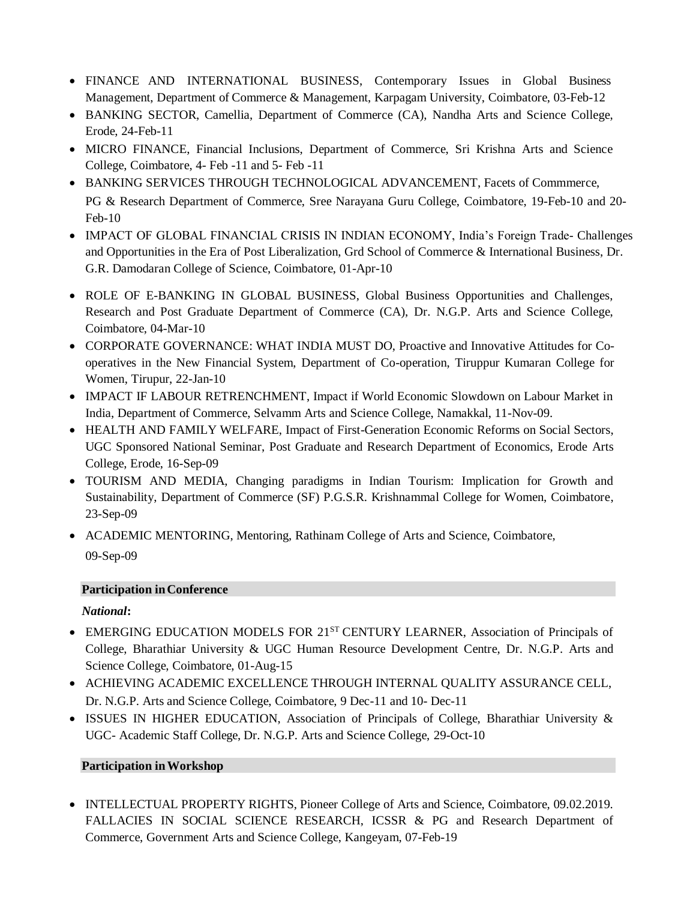- FINANCE AND INTERNATIONAL BUSINESS, Contemporary Issues in Global Business Management, Department of Commerce & Management, Karpagam University, Coimbatore, 03-Feb-12
- BANKING SECTOR, Camellia, Department of Commerce (CA), Nandha Arts and Science College, Erode, 24-Feb-11
- MICRO FINANCE, Financial Inclusions, Department of Commerce, Sri Krishna Arts and Science College, Coimbatore, 4- Feb -11 and 5- Feb -11
- BANKING SERVICES THROUGH TECHNOLOGICAL ADVANCEMENT, Facets of Commmerce, PG & Research Department of Commerce, Sree Narayana Guru College, Coimbatore, 19-Feb-10 and 20- Feb-10
- IMPACT OF GLOBAL FINANCIAL CRISIS IN INDIAN ECONOMY, India's Foreign Trade- Challenges and Opportunities in the Era of Post Liberalization, Grd School of Commerce & International Business, Dr. G.R. Damodaran College of Science, Coimbatore, 01-Apr-10
- ROLE OF E-BANKING IN GLOBAL BUSINESS, Global Business Opportunities and Challenges, Research and Post Graduate Department of Commerce (CA), Dr. N.G.P. Arts and Science College, Coimbatore, 04-Mar-10
- CORPORATE GOVERNANCE: WHAT INDIA MUST DO, Proactive and Innovative Attitudes for Cooperatives in the New Financial System, Department of Co-operation, Tiruppur Kumaran College for Women, Tirupur, 22-Jan-10
- IMPACT IF LABOUR RETRENCHMENT, Impact if World Economic Slowdown on Labour Market in India, Department of Commerce, Selvamm Arts and Science College, Namakkal, 11-Nov-09.
- HEALTH AND FAMILY WELFARE, Impact of First-Generation Economic Reforms on Social Sectors, UGC Sponsored National Seminar, Post Graduate and Research Department of Economics, Erode Arts College, Erode, 16-Sep-09
- TOURISM AND MEDIA, Changing paradigms in Indian Tourism: Implication for Growth and Sustainability, Department of Commerce (SF) P.G.S.R. Krishnammal College for Women, Coimbatore, 23-Sep-09
- ACADEMIC MENTORING, Mentoring, Rathinam College of Arts and Science, Coimbatore, 09-Sep-09

# **Participation inConference**

# *National***:**

- EMERGING EDUCATION MODELS FOR 21<sup>ST</sup> CENTURY LEARNER, Association of Principals of College, Bharathiar University & UGC Human Resource Development Centre, Dr. N.G.P. Arts and Science College, Coimbatore, 01-Aug-15
- ACHIEVING ACADEMIC EXCELLENCE THROUGH INTERNAL OUALITY ASSURANCE CELL, Dr. N.G.P. Arts and Science College, Coimbatore, 9 Dec-11 and 10- Dec-11
- ISSUES IN HIGHER EDUCATION, Association of Principals of College, Bharathiar University & UGC- Academic Staff College, Dr. N.G.P. Arts and Science College, 29-Oct-10

# **Participation inWorkshop**

• INTELLECTUAL PROPERTY RIGHTS, Pioneer College of Arts and Science, Coimbatore, 09.02.2019. FALLACIES IN SOCIAL SCIENCE RESEARCH, ICSSR & PG and Research Department of Commerce, Government Arts and Science College, Kangeyam, 07-Feb-19